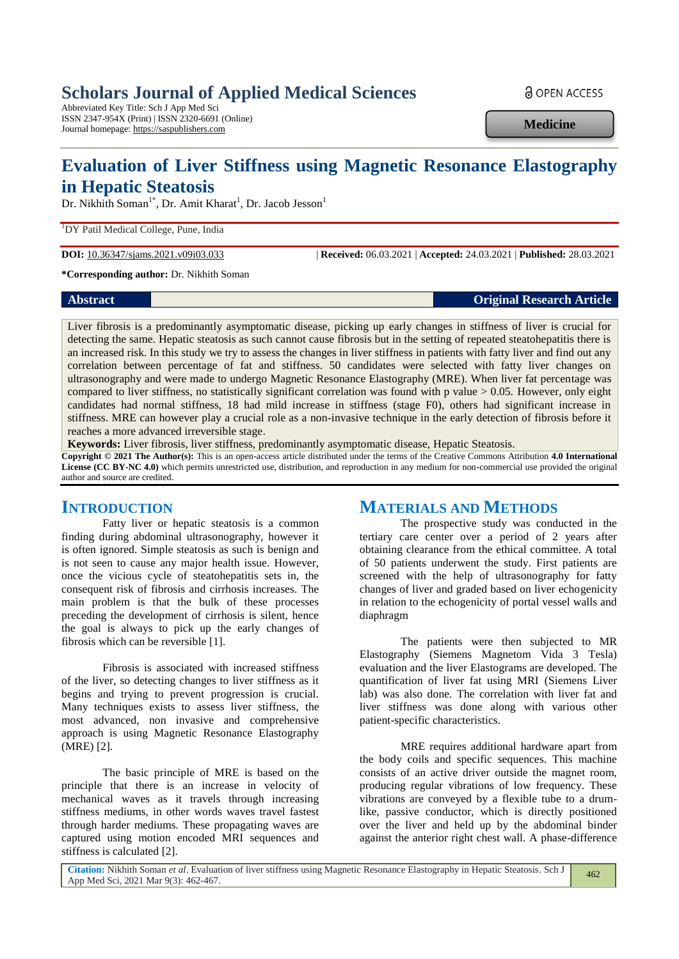# **Scholars Journal of Applied Medical Sciences**

Abbreviated Key Title: Sch J App Med Sci ISSN 2347-954X (Print) | ISSN 2320-6691 (Online) Journal homepage: https://saspublishers.com

**a** OPEN ACCESS

**Medicine**

# **Evaluation of Liver Stiffness using Magnetic Resonance Elastography in Hepatic Steatosis**

Dr. Nikhith Soman<sup>1\*</sup>, Dr. Amit Kharat<sup>1</sup>, Dr. Jacob Jesson<sup>1</sup>

<sup>1</sup>DY Patil Medical College, Pune, India

**DOI:** 10.36347/sjams.2021.v09i03.033 | **Received:** 06.03.2021 | **Accepted:** 24.03.2021 | **Published:** 28.03.2021

**\*Corresponding author:** Dr. Nikhith Soman

**Abstract Original Research Article**

Liver fibrosis is a predominantly asymptomatic disease, picking up early changes in stiffness of liver is crucial for detecting the same. Hepatic steatosis as such cannot cause fibrosis but in the setting of repeated steatohepatitis there is an increased risk. In this study we try to assess the changes in liver stiffness in patients with fatty liver and find out any correlation between percentage of fat and stiffness. 50 candidates were selected with fatty liver changes on ultrasonography and were made to undergo Magnetic Resonance Elastography (MRE). When liver fat percentage was compared to liver stiffness, no statistically significant correlation was found with p value > 0.05. However, only eight candidates had normal stiffness, 18 had mild increase in stiffness (stage F0), others had significant increase in stiffness. MRE can however play a crucial role as a non-invasive technique in the early detection of fibrosis before it reaches a more advanced irreversible stage.

**Keywords:** Liver fibrosis, liver stiffness, predominantly asymptomatic disease, Hepatic Steatosis.

**Copyright © 2021 The Author(s):** This is an open-access article distributed under the terms of the Creative Commons Attribution **4.0 International License (CC BY-NC 4.0)** which permits unrestricted use, distribution, and reproduction in any medium for non-commercial use provided the original author and source are credited.

# **INTRODUCTION**

Fatty liver or hepatic steatosis is a common finding during abdominal ultrasonography, however it is often ignored. Simple steatosis as such is benign and is not seen to cause any major health issue. However, once the vicious cycle of steatohepatitis sets in, the consequent risk of fibrosis and cirrhosis increases. The main problem is that the bulk of these processes preceding the development of cirrhosis is silent, hence the goal is always to pick up the early changes of fibrosis which can be reversible [1].

Fibrosis is associated with increased stiffness of the liver, so detecting changes to liver stiffness as it begins and trying to prevent progression is crucial. Many techniques exists to assess liver stiffness, the most advanced, non invasive and comprehensive approach is using Magnetic Resonance Elastography (MRE) [2].

The basic principle of MRE is based on the principle that there is an increase in velocity of mechanical waves as it travels through increasing stiffness mediums, in other words waves travel fastest through harder mediums. These propagating waves are captured using motion encoded MRI sequences and stiffness is calculated [2].

# **MATERIALS AND METHODS**

The prospective study was conducted in the tertiary care center over a period of 2 years after obtaining clearance from the ethical committee. A total of 50 patients underwent the study. First patients are screened with the help of ultrasonography for fatty changes of liver and graded based on liver echogenicity in relation to the echogenicity of portal vessel walls and diaphragm

The patients were then subjected to MR Elastography (Siemens Magnetom Vida 3 Tesla) evaluation and the liver Elastograms are developed. The quantification of liver fat using MRI (Siemens Liver lab) was also done. The correlation with liver fat and liver stiffness was done along with various other patient-specific characteristics.

MRE requires additional hardware apart from the body coils and specific sequences. This machine consists of an active driver outside the magnet room, producing regular vibrations of low frequency. These vibrations are conveyed by a flexible tube to a drumlike, passive conductor, which is directly positioned over the liver and held up by the abdominal binder against the anterior right chest wall. A phase-difference

**Citation:** Nikhith Soman *et al*. Evaluation of liver stiffness using Magnetic Resonance Elastography in Hepatic Steatosis. Sch J App Med Sci, 2021 Mar 9(3): 462-467.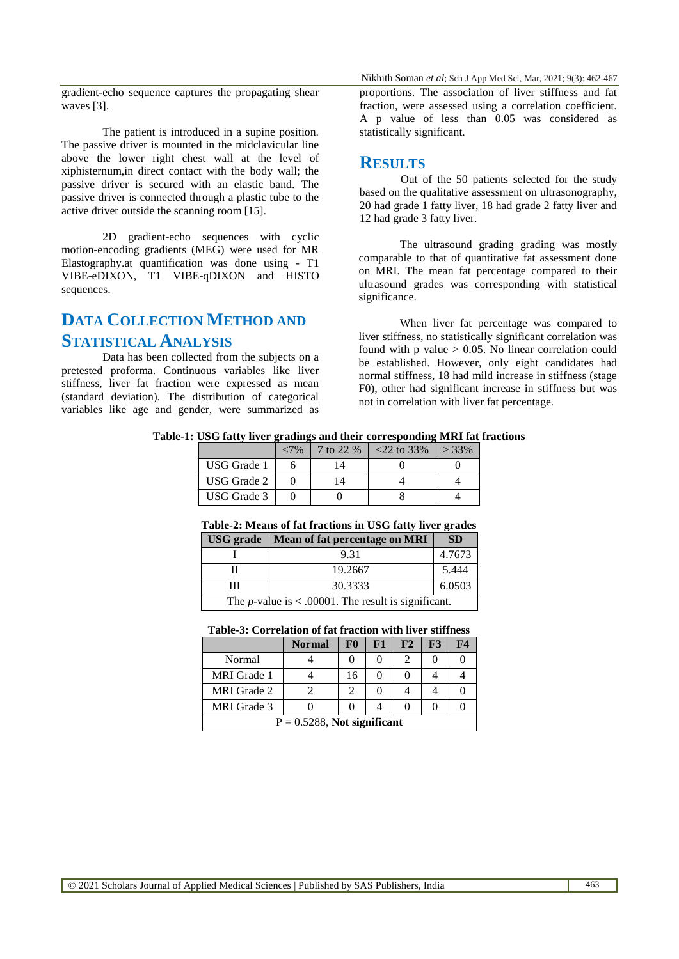gradient-echo sequence captures the propagating shear waves [3].

The patient is introduced in a supine position. The passive driver is mounted in the midclavicular line above the lower right chest wall at the level of xiphisternum,in direct contact with the body wall; the passive driver is secured with an elastic band. The passive driver is connected through a plastic tube to the active driver outside the scanning room [15].

2D gradient-echo sequences with cyclic motion-encoding gradients (MEG) were used for MR Elastography.at quantification was done using - T1 VIBE-eDIXON, T1 VIBE-qDIXON and HISTO sequences.

# **DATA COLLECTION METHOD AND STATISTICAL ANALYSIS**

Data has been collected from the subjects on a pretested proforma. Continuous variables like liver stiffness, liver fat fraction were expressed as mean (standard deviation). The distribution of categorical variables like age and gender, were summarized as

Nikhith Soman *et al*; Sch J App Med Sci, Mar, 2021; 9(3): 462-467 proportions. The association of liver stiffness and fat fraction, were assessed using a correlation coefficient. A p value of less than 0.05 was considered as statistically significant.

## **RESULTS**

Out of the 50 patients selected for the study based on the qualitative assessment on ultrasonography, 20 had grade 1 fatty liver, 18 had grade 2 fatty liver and 12 had grade 3 fatty liver.

The ultrasound grading grading was mostly comparable to that of quantitative fat assessment done on MRI. The mean fat percentage compared to their ultrasound grades was corresponding with statistical significance.

When liver fat percentage was compared to liver stiffness, no statistically significant correlation was found with  $p$  value  $> 0.05$ . No linear correlation could be established. However, only eight candidates had normal stiffness, 18 had mild increase in stiffness (stage F0), other had significant increase in stiffness but was not in correlation with liver fat percentage.

**Table-1: USG fatty liver gradings and their corresponding MRI fat fractions**

|             | ${<}7\%$ | 7 to 22 % | $22$ to 33% | $> 33\%$ |
|-------------|----------|-----------|-------------|----------|
| USG Grade 1 |          |           |             |          |
| USG Grade 2 |          |           |             |          |
| USG Grade 3 |          |           |             |          |

#### **Table-2: Means of fat fractions in USG fatty liver grades**

| <b>USG</b> grade                                                | Mean of fat percentage on MRI | <b>SD</b> |  |  |
|-----------------------------------------------------------------|-------------------------------|-----------|--|--|
|                                                                 | 9.31                          | 4.7673    |  |  |
|                                                                 | 19.2667                       | 5.444     |  |  |
| Ш                                                               | 30.3333                       | 6.0503    |  |  |
| The <i>p</i> -value is $\lt$ .00001. The result is significant. |                               |           |  |  |

#### **Table-3: Correlation of fat fraction with liver stiffness**

|                                | <b>Normal</b> | F0 | F1 | F2 | F3 | F4 |  |  |  |
|--------------------------------|---------------|----|----|----|----|----|--|--|--|
| Normal                         |               |    |    | 2  |    |    |  |  |  |
| <b>MRI</b> Grade 1             |               | 16 |    |    |    |    |  |  |  |
| MRI Grade 2                    |               |    |    |    |    |    |  |  |  |
| MRI Grade 3                    |               |    |    |    |    |    |  |  |  |
| $P = 0.5288$ , Not significant |               |    |    |    |    |    |  |  |  |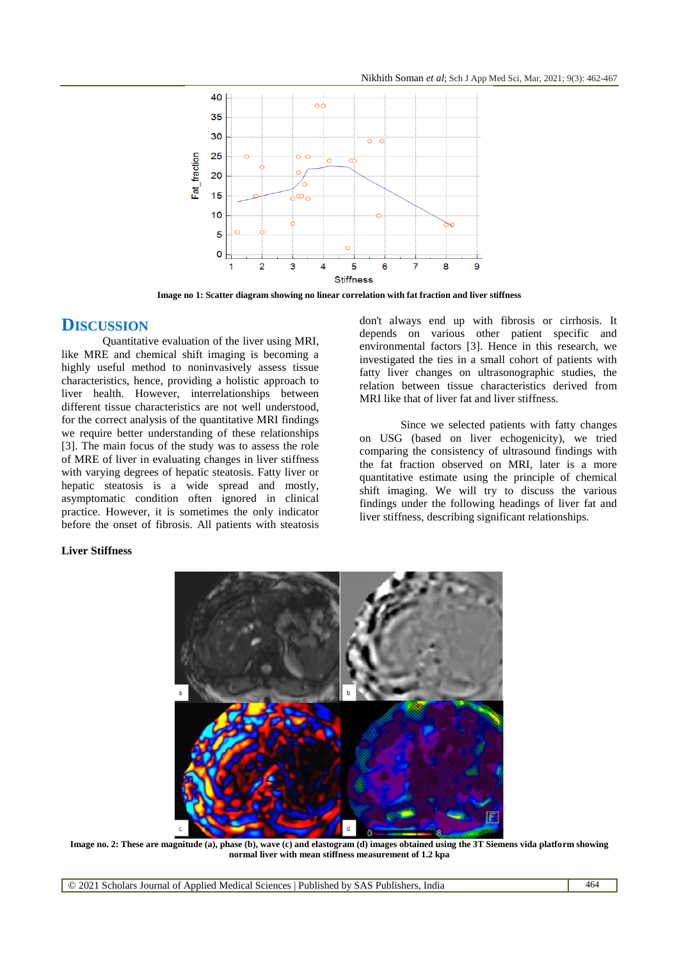

**Image no 1: Scatter diagram showing no linear correlation with fat fraction and liver stiffness**

# **DISCUSSION**

Quantitative evaluation of the liver using MRI, like MRE and chemical shift imaging is becoming a highly useful method to noninvasively assess tissue characteristics, hence, providing a holistic approach to liver health. However, interrelationships between different tissue characteristics are not well understood, for the correct analysis of the quantitative MRI findings we require better understanding of these relationships [3]. The main focus of the study was to assess the role of MRE of liver in evaluating changes in liver stiffness with varying degrees of hepatic steatosis. Fatty liver or hepatic steatosis is a wide spread and mostly, asymptomatic condition often ignored in clinical practice. However, it is sometimes the only indicator before the onset of fibrosis. All patients with steatosis

**Liver Stiffness**

don't always end up with fibrosis or cirrhosis. It depends on various other patient specific and environmental factors [3]. Hence in this research, we investigated the ties in a small cohort of patients with fatty liver changes on ultrasonographic studies, the relation between tissue characteristics derived from MRI like that of liver fat and liver stiffness.

Since we selected patients with fatty changes on USG (based on liver echogenicity), we tried comparing the consistency of ultrasound findings with the fat fraction observed on MRI, later is a more quantitative estimate using the principle of chemical shift imaging. We will try to discuss the various findings under the following headings of liver fat and liver stiffness, describing significant relationships.



**Image no. 2: These are magnitude (a), phase (b), wave (c) and elastogram (d) images obtained using the 3T Siemens vida platform showing normal liver with mean stiffness measurement of 1.2 kpa**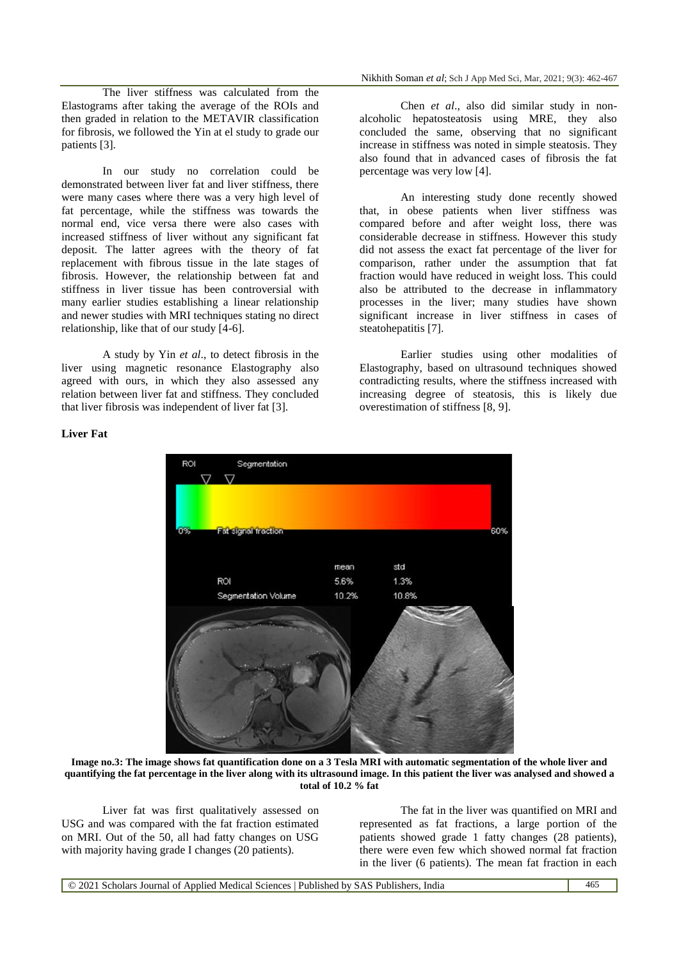The liver stiffness was calculated from the Elastograms after taking the average of the ROIs and then graded in relation to the METAVIR classification for fibrosis, we followed the Yin at el study to grade our patients [3].

In our study no correlation could be demonstrated between liver fat and liver stiffness, there were many cases where there was a very high level of fat percentage, while the stiffness was towards the normal end, vice versa there were also cases with increased stiffness of liver without any significant fat deposit. The latter agrees with the theory of fat replacement with fibrous tissue in the late stages of fibrosis. However, the relationship between fat and stiffness in liver tissue has been controversial with many earlier studies establishing a linear relationship and newer studies with MRI techniques stating no direct relationship, like that of our study [4-6].

A study by Yin *et al*., to detect fibrosis in the liver using magnetic resonance Elastography also agreed with ours, in which they also assessed any relation between liver fat and stiffness. They concluded that liver fibrosis was independent of liver fat [3].

**Liver Fat**

#### Nikhith Soman *et al*; Sch J App Med Sci, Mar, 2021; 9(3): 462-467

Chen *et al*., also did similar study in nonalcoholic hepatosteatosis using MRE, they also concluded the same, observing that no significant increase in stiffness was noted in simple steatosis. They also found that in advanced cases of fibrosis the fat percentage was very low [4].

An interesting study done recently showed that, in obese patients when liver stiffness was compared before and after weight loss, there was considerable decrease in stiffness. However this study did not assess the exact fat percentage of the liver for comparison, rather under the assumption that fat fraction would have reduced in weight loss. This could also be attributed to the decrease in inflammatory processes in the liver; many studies have shown significant increase in liver stiffness in cases of steatohepatitis [7].

Earlier studies using other modalities of Elastography, based on ultrasound techniques showed contradicting results, where the stiffness increased with increasing degree of steatosis, this is likely due overestimation of stiffness [8, 9].



**Image no.3: The image shows fat quantification done on a 3 Tesla MRI with automatic segmentation of the whole liver and quantifying the fat percentage in the liver along with its ultrasound image. In this patient the liver was analysed and showed a total of 10.2 % fat**

Liver fat was first qualitatively assessed on USG and was compared with the fat fraction estimated on MRI. Out of the 50, all had fatty changes on USG with majority having grade I changes (20 patients).

The fat in the liver was quantified on MRI and represented as fat fractions, a large portion of the patients showed grade 1 fatty changes (28 patients), there were even few which showed normal fat fraction in the liver (6 patients). The mean fat fraction in each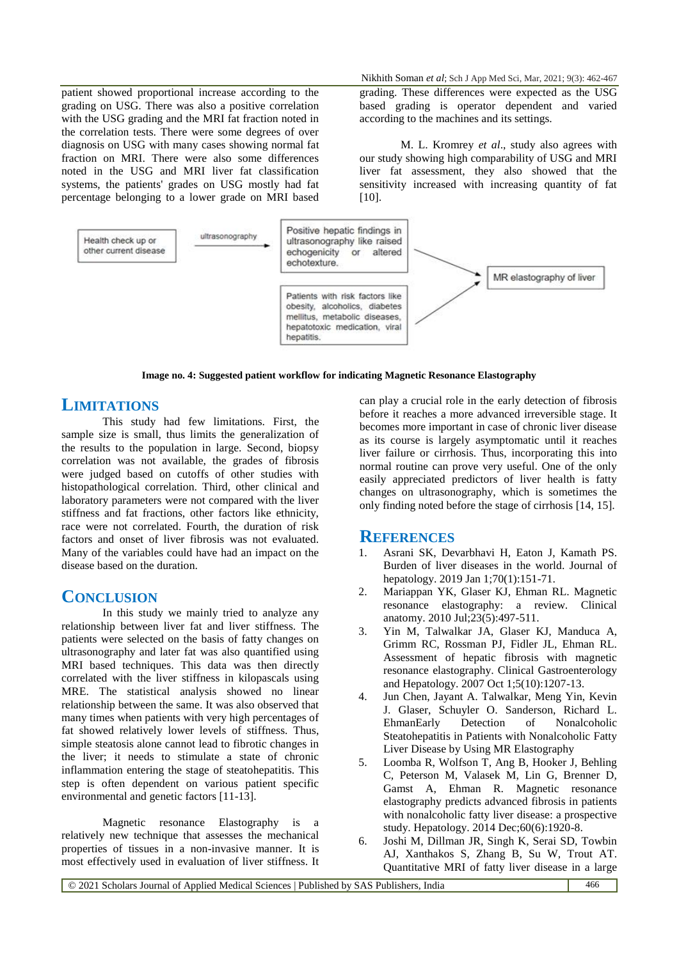patient showed proportional increase according to the grading on USG. There was also a positive correlation with the USG grading and the MRI fat fraction noted in the correlation tests. There were some degrees of over diagnosis on USG with many cases showing normal fat fraction on MRI. There were also some differences noted in the USG and MRI liver fat classification systems, the patients' grades on USG mostly had fat percentage belonging to a lower grade on MRI based Nikhith Soman *et al*; Sch J App Med Sci, Mar, 2021; 9(3): 462-467

grading. These differences were expected as the USG based grading is operator dependent and varied according to the machines and its settings.

M. L. Kromrey *et al*., study also agrees with our study showing high comparability of USG and MRI liver fat assessment, they also showed that the sensitivity increased with increasing quantity of fat [10].



**Image no. 4: Suggested patient workflow for indicating Magnetic Resonance Elastography**

## **LIMITATIONS**

This study had few limitations. First, the sample size is small, thus limits the generalization of the results to the population in large. Second, biopsy correlation was not available, the grades of fibrosis were judged based on cutoffs of other studies with histopathological correlation. Third, other clinical and laboratory parameters were not compared with the liver stiffness and fat fractions, other factors like ethnicity, race were not correlated. Fourth, the duration of risk factors and onset of liver fibrosis was not evaluated. Many of the variables could have had an impact on the disease based on the duration.

## **CONCLUSION**

In this study we mainly tried to analyze any relationship between liver fat and liver stiffness. The patients were selected on the basis of fatty changes on ultrasonography and later fat was also quantified using MRI based techniques. This data was then directly correlated with the liver stiffness in kilopascals using MRE. The statistical analysis showed no linear relationship between the same. It was also observed that many times when patients with very high percentages of fat showed relatively lower levels of stiffness. Thus, simple steatosis alone cannot lead to fibrotic changes in the liver; it needs to stimulate a state of chronic inflammation entering the stage of steatohepatitis. This step is often dependent on various patient specific environmental and genetic factors [11-13].

Magnetic resonance Elastography is a relatively new technique that assesses the mechanical properties of tissues in a non-invasive manner. It is most effectively used in evaluation of liver stiffness. It

can play a crucial role in the early detection of fibrosis before it reaches a more advanced irreversible stage. It becomes more important in case of chronic liver disease as its course is largely asymptomatic until it reaches liver failure or cirrhosis. Thus, incorporating this into normal routine can prove very useful. One of the only easily appreciated predictors of liver health is fatty changes on ultrasonography, which is sometimes the only finding noted before the stage of cirrhosis [14, 15].

### **REFERENCES**

- 1. Asrani SK, Devarbhavi H, Eaton J, Kamath PS. Burden of liver diseases in the world. Journal of hepatology. 2019 Jan 1;70(1):151-71.
- 2. Mariappan YK, Glaser KJ, Ehman RL. Magnetic resonance elastography: a review. Clinical anatomy. 2010 Jul;23(5):497-511.
- 3. Yin M, Talwalkar JA, Glaser KJ, Manduca A, Grimm RC, Rossman PJ, Fidler JL, Ehman RL. Assessment of hepatic fibrosis with magnetic resonance elastography. Clinical Gastroenterology and Hepatology. 2007 Oct 1;5(10):1207-13.
- 4. Jun Chen, Jayant A. Talwalkar, Meng Yin, Kevin J. Glaser, Schuyler O. Sanderson, Richard L. EhmanEarly Detection of Nonalcoholic Steatohepatitis in Patients with Nonalcoholic Fatty Liver Disease by Using MR Elastography
- 5. Loomba R, Wolfson T, Ang B, Hooker J, Behling C, Peterson M, Valasek M, Lin G, Brenner D, Gamst A, Ehman R. Magnetic resonance elastography predicts advanced fibrosis in patients with nonalcoholic fatty liver disease: a prospective study. Hepatology. 2014 Dec;60(6):1920-8.
- 6. Joshi M, Dillman JR, Singh K, Serai SD, Towbin AJ, Xanthakos S, Zhang B, Su W, Trout AT. Quantitative MRI of fatty liver disease in a large

© 2021 Scholars Journal of Applied Medical Sciences | Published by SAS Publishers, India 466